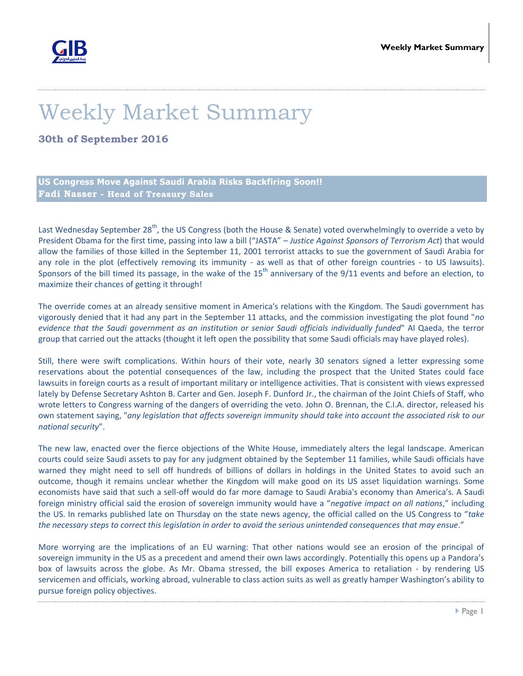

## Weekly Market Summary

**30th of September 2016**

**US Congress Move Against Saudi Arabia Risks Backfiring Soon!! Fadi Nasser - Head of Treasury Sales**

Last Wednesday September 28<sup>th</sup>, the US Congress (both the House & Senate) voted overwhelmingly to override a veto by President Obama for the first time, passing into law a bill ("JASTA" – *Justice Against Sponsors of Terrorism Act*) that would allow the families of those killed in the September 11, 2001 terrorist attacks to sue the government of Saudi Arabia for any role in the plot (effectively removing its immunity - as well as that of other foreign countries - to US lawsuits). Sponsors of the bill timed its passage, in the wake of the  $15<sup>th</sup>$  anniversary of the  $9/11$  events and before an election, to maximize their chances of getting it through!

The override comes at an already sensitive moment in America's relations with the Kingdom. The Saudi government has vigorously denied that it had any part in the September 11 attacks, and the commission investigating the plot found "*no evidence that the Saudi government as an institution or senior Saudi officials individually funded*" Al Qaeda, the terror group that carried out the attacks (thought it left open the possibility that some Saudi officials may have played roles).

Still, there were swift complications. Within hours of their vote, nearly 30 senators signed a letter expressing some reservations about the potential consequences of the law, including the prospect that the United States could face lawsuits in foreign courts as a result of important military or intelligence activities. That is consistent with views expressed lately by Defense Secretary Ashton B. Carter and Gen. Joseph F. Dunford Jr., the chairman of the Joint Chiefs of Staff, who wrote letters to Congress warning of the dangers of overriding the veto. John O. Brennan, the C.I.A. director, released his own statement saying, "*any legislation that affects sovereign immunity should take into account the associated risk to our national security*".

The new law, enacted over the fierce objections of the White House, immediately alters the legal landscape. American courts could seize Saudi assets to pay for any judgment obtained by the September 11 families, while Saudi officials have warned they might need to sell off hundreds of billions of dollars in holdings in the United States to avoid such an outcome, though it remains unclear whether the Kingdom will make good on its US asset liquidation warnings. Some economists have said that such a sell-off would do far more damage to Saudi Arabia's economy than America's. A Saudi foreign ministry official said the erosion of sovereign immunity would have a "*negative impact on all nations*," including the US. In remarks published late on Thursday on the state news agency, the official called on the US Congress to "*take the necessary steps to correct this legislation in order to avoid the serious unintended consequences that may ensue*."

More worrying are the implications of an EU warning: That other nations would see an erosion of the principal of sovereign immunity in the US as a precedent and amend their own laws accordingly. Potentially this opens up a Pandora's box of lawsuits across the globe. As Mr. Obama stressed, the bill exposes America to retaliation - by rendering US servicemen and officials, working abroad, vulnerable to class action suits as well as greatly hamper Washington's ability to pursue foreign policy objectives.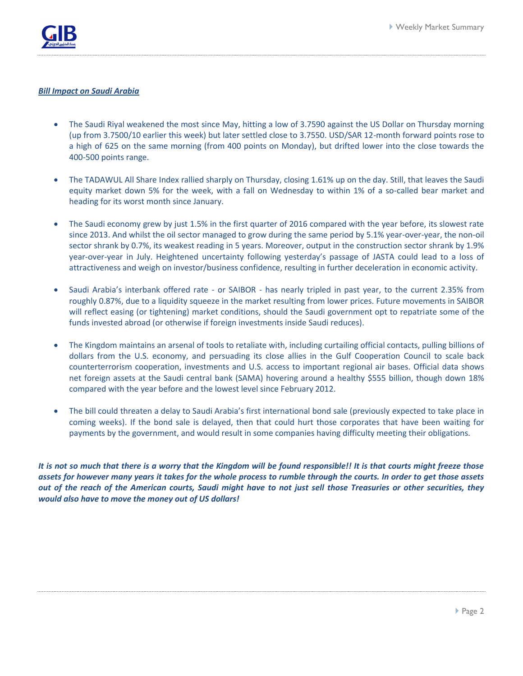

## *Bill Impact on Saudi Arabia*

- The Saudi Riyal weakened the most since May, hitting a low of 3.7590 against the US Dollar on Thursday morning (up from 3.7500/10 earlier this week) but later settled close to 3.7550. USD/SAR 12-month forward points rose to a high of 625 on the same morning (from 400 points on Monday), but drifted lower into the close towards the 400-500 points range.
- The TADAWUL All Share Index rallied sharply on Thursday, closing 1.61% up on the day. Still, that leaves the Saudi equity market down 5% for the week, with a fall on Wednesday to within 1% of a so-called bear market and heading for its worst month since January.
- The Saudi economy grew by just 1.5% in the first quarter of 2016 compared with the year before, its slowest rate since 2013. And whilst the oil sector managed to grow during the same period by 5.1% year-over-year, the non-oil sector shrank by 0.7%, its weakest reading in 5 years. Moreover, output in the construction sector shrank by 1.9% year-over-year in July. Heightened uncertainty following yesterday's passage of JASTA could lead to a loss of attractiveness and weigh on investor/business confidence, resulting in further deceleration in economic activity.
- Saudi Arabia's interbank offered rate or SAIBOR has nearly tripled in past year, to the current 2.35% from roughly 0.87%, due to a liquidity squeeze in the market resulting from lower prices. Future movements in SAIBOR will reflect easing (or tightening) market conditions, should the Saudi government opt to repatriate some of the funds invested abroad (or otherwise if foreign investments inside Saudi reduces).
- The Kingdom maintains an arsenal of tools to retaliate with, including curtailing official contacts, pulling billions of dollars from the U.S. economy, and persuading its close allies in the Gulf Cooperation Council to scale back counterterrorism cooperation, investments and U.S. access to important regional air bases. Official data shows net foreign assets at the Saudi central bank (SAMA) hovering around a healthy \$555 billion, though down 18% compared with the year before and the lowest level since February 2012.
- The bill could threaten a delay to Saudi Arabia's first international bond sale (previously expected to take place in coming weeks). If the bond sale is delayed, then that could hurt those corporates that have been waiting for payments by the government, and would result in some companies having difficulty meeting their obligations.

*It is not so much that there is a worry that the Kingdom will be found responsible!! It is that courts might freeze those assets for however many years it takes for the whole process to rumble through the courts. In order to get those assets out of the reach of the American courts, Saudi might have to not just sell those Treasuries or other securities, they would also have to move the money out of US dollars!*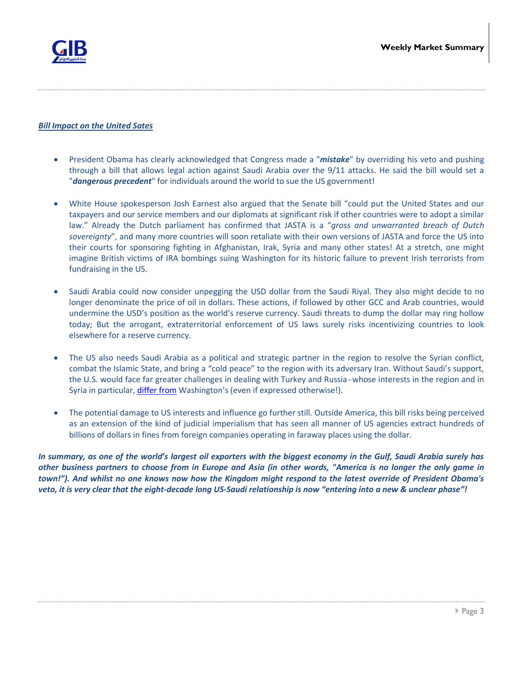

## *Bill Impact on the United Sates*

- President Obama has clearly acknowledged that Congress made a "*mistake*" by overriding his veto and pushing through a bill that allows legal action against Saudi Arabia over the 9/11 attacks. He said the bill would set a "*dangerous precedent*" for individuals around the world to sue the US government!
- White House spokesperson Josh Earnest also argued that the Senate bill "could put the United States and our taxpayers and our service members and our diplomats at significant risk if other countries were to adopt a similar law." Already the Dutch parliament has confirmed that JASTA is a "*gross and unwarranted breach of Dutch sovereignty*", and many more countries will soon retaliate with their own versions of JASTA and force the US into their courts for sponsoring fighting in Afghanistan, Irak, Syria and many other states! At a stretch, one might imagine British victims of IRA bombings suing Washington for its historic failure to prevent Irish terrorists from fundraising in the US.
- Saudi Arabia could now consider unpegging the USD dollar from the Saudi Riyal. They also might decide to no longer denominate the price of oil in dollars. These actions, if followed by other GCC and Arab countries, would undermine the USD's position as the world's reserve currency. Saudi threats to dump the dollar may ring hollow today; But the arrogant, extraterritorial enforcement of US laws surely risks incentivizing countries to look elsewhere for a reserve currency.
- The US also needs Saudi Arabia as a political and strategic partner in the region to resolve the Syrian conflict, combat the Islamic State, and bring a "cold peace" to the region with its adversary Iran. Without Saudi's support, the U.S. would face far greater challenges in dealing with Turkey and Russia - whose interests in the region and in Syria in particular[, differ from](https://psmag.com/will-syria-be-a-new-ukraine-6ecc60dc0307#.wwn1xtty2) Washington's (even if expressed otherwise!).
- The potential damage to US interests and influence go further still. Outside America, this bill risks being perceived as an extension of the kind of judicial imperialism that has seen all manner of US agencies extract hundreds of billions of dollars in fines from foreign companies operating in faraway places using the dollar.

*In summary, as one of the world's largest oil exporters with the biggest economy in the Gulf, Saudi Arabia surely has other business partners to choose from in Europe and Asia (in other words, "America is no longer the only game in town!"). And whilst no one knows now how the Kingdom might respond to the latest override of President Obama's veto, it is very clear that the eight-decade long US-Saudi relationship is now "entering into a new & unclear phase"!*